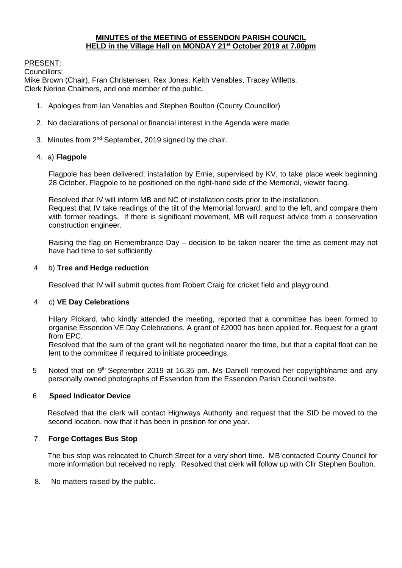## **MINUTES of the MEETING of ESSENDON PARISH COUNCIL HELD in the Village Hall on MONDAY 21st October 2019 at 7.00pm**

# PRESENT:

Councillors:

Mike Brown (Chair), Fran Christensen, Rex Jones, Keith Venables, Tracey Willetts. Clerk Nerine Chalmers, and one member of the public.

- 1. Apologies from Ian Venables and Stephen Boulton (County Councillor)
- 2. No declarations of personal or financial interest in the Agenda were made.
- 3. Minutes from 2<sup>nd</sup> September, 2019 signed by the chair.

## 4. a) **Flagpole**

Flagpole has been delivered; installation by Ernie, supervised by KV, to take place week beginning 28 October. Flagpole to be positioned on the right-hand side of the Memorial, viewer facing.

Resolved that IV will inform MB and NC of installation costs prior to the installation. Request that IV take readings of the tilt of the Memorial forward, and to the left, and compare them with former readings. If there is significant movement, MB will request advice from a conservation construction engineer.

Raising the flag on Remembrance Day – decision to be taken nearer the time as cement may not have had time to set sufficiently.

## 4 b) **Tree and Hedge reduction**

Resolved that IV will submit quotes from Robert Craig for cricket field and playground.

## 4 c) **VE Day Celebrations**

Hilary Pickard, who kindly attended the meeting, reported that a committee has been formed to organise Essendon VE Day Celebrations. A grant of £2000 has been applied for. Request for a grant from EPC.

Resolved that the sum of the grant will be negotiated nearer the time, but that a capital float can be lent to the committee if required to initiate proceedings.

5 Noted that on 9<sup>th</sup> September 2019 at 16.35 pm. Ms Daniell removed her copyright/name and any personally owned photographs of Essendon from the Essendon Parish Council website.

## 6 **Speed Indicator Device**

Resolved that the clerk will contact Highways Authority and request that the SID be moved to the second location, now that it has been in position for one year.

## 7. **Forge Cottages Bus Stop**

The bus stop was relocated to Church Street for a very short time. MB contacted County Council for more information but received no reply. Resolved that clerk will follow up with Cllr Stephen Boulton.

8. No matters raised by the public.